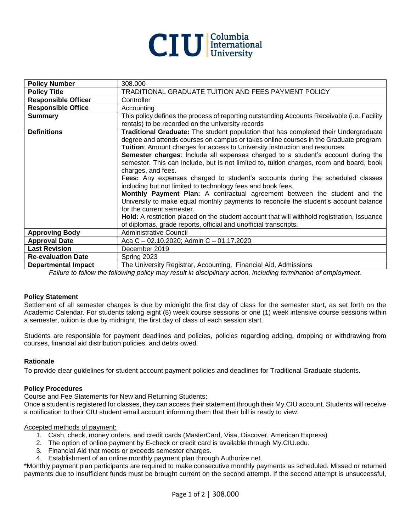

| <b>Policy Number</b>       | 308.000                                                                                     |
|----------------------------|---------------------------------------------------------------------------------------------|
| <b>Policy Title</b>        | TRADITIONAL GRADUATE TUITION AND FEES PAYMENT POLICY                                        |
| <b>Responsible Officer</b> | Controller                                                                                  |
| <b>Responsible Office</b>  | Accounting                                                                                  |
| <b>Summary</b>             | This policy defines the process of reporting outstanding Accounts Receivable (i.e. Facility |
|                            | rentals) to be recorded on the university records                                           |
| <b>Definitions</b>         | Traditional Graduate: The student population that has completed their Undergraduate         |
|                            | degree and attends courses on campus or takes online courses in the Graduate program.       |
|                            | Tuition: Amount charges for access to University instruction and resources.                 |
|                            | Semester charges: Include all expenses charged to a student's account during the            |
|                            | semester. This can include, but is not limited to, tuition charges, room and board, book    |
|                            | charges, and fees.                                                                          |
|                            | Fees: Any expenses charged to student's accounts during the scheduled classes               |
|                            | including but not limited to technology fees and book fees.                                 |
|                            | Monthly Payment Plan: A contractual agreement between the student and the                   |
|                            | University to make equal monthly payments to reconcile the student's account balance        |
|                            | for the current semester.                                                                   |
|                            | Hold: A restriction placed on the student account that will withhold registration, Issuance |
|                            | of diplomas, grade reports, official and unofficial transcripts.                            |
| <b>Approving Body</b>      | <b>Administrative Council</b>                                                               |
| <b>Approval Date</b>       | Aca C - 02.10.2020; Admin C - 01.17.2020                                                    |
| <b>Last Revision</b>       | December 2019                                                                               |
| <b>Re-evaluation Date</b>  | Spring 2023                                                                                 |
| <b>Departmental Impact</b> | The University Registrar, Accounting, Financial Aid, Admissions                             |

*Failure to follow the following policy may result in disciplinary action, including termination of employment.*

## **Policy Statement**

Settlement of all semester charges is due by midnight the first day of class for the semester start, as set forth on the Academic Calendar. For students taking eight (8) week course sessions or one (1) week intensive course sessions within a semester, tuition is due by midnight, the first day of class of each session start.

Students are responsible for payment deadlines and policies, policies regarding adding, dropping or withdrawing from courses, financial aid distribution policies, and debts owed.

## **Rationale**

To provide clear guidelines for student account payment policies and deadlines for Traditional Graduate students.

## **Policy Procedures**

Course and Fee Statements for New and Returning Students:

Once a student is registered for classes, they can access their statement through their My.CIU account. Students will receive a notification to their CIU student email account informing them that their bill is ready to view.

#### Accepted methods of payment:

- 1. Cash, check, money orders, and credit cards (MasterCard, Visa, Discover, American Express)
- 2. The option of online payment by E-check or credit card is available through My.CIU.edu.
- 3. Financial Aid that meets or exceeds semester charges.
- 4. Establishment of an online monthly payment plan through Authorize.net.

\*Monthly payment plan participants are required to make consecutive monthly payments as scheduled. Missed or returned payments due to insufficient funds must be brought current on the second attempt. If the second attempt is unsuccessful,